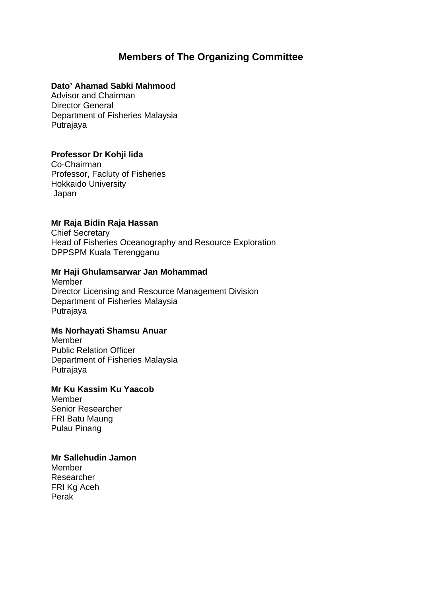## **Members of The Organizing Committee**

#### **Dato' Ahamad Sabki Mahmood**

Advisor and Chairman Director General Department of Fisheries Malaysia Putrajaya

## **Professor Dr Kohji Iida**

Co-Chairman Professor, Facluty of Fisheries Hokkaido University Japan

### **Mr Raja Bidin Raja Hassan**

Chief Secretary Head of Fisheries Oceanography and Resource Exploration DPPSPM Kuala Terengganu

#### **Mr Haji Ghulamsarwar Jan Mohammad**

Member Director Licensing and Resource Management Division Department of Fisheries Malaysia Putrajaya

#### **Ms Norhayati Shamsu Anuar**

Member Public Relation Officer Department of Fisheries Malaysia Putrajaya

## **Mr Ku Kassim Ku Yaacob**

Member Senior Researcher FRI Batu Maung Pulau Pinang

#### **Mr Sallehudin Jamon**

Member Researcher FRI Kg Aceh Perak